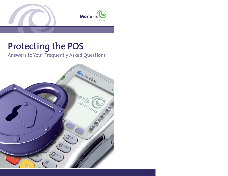

# **Protecting the POS**

## Answers to Your Frequently Asked Questions

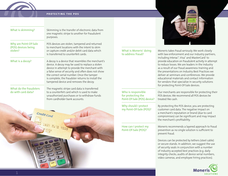

#### **PROTECTING THE POS**

| What is skimming?                                       | Skimming is the transfer of electronic data from<br>one magnetic stripe to another for fraudulent<br>purposes.                                                                                                                                                                                                                                           |
|---------------------------------------------------------|----------------------------------------------------------------------------------------------------------------------------------------------------------------------------------------------------------------------------------------------------------------------------------------------------------------------------------------------------------|
| Why are Point-Of-Sale<br>(POS) devices being<br>stolen? | POS devices are stolen, tampered and returned<br>to merchant locations with the intent to skim<br>or capture credit and/or debit card data which<br>is transferred to counterfeit cards.                                                                                                                                                                 |
| What is a decoy?                                        | A decoy is a device that resembles the merchant's<br>device. A decoy may be used to replace a stolen<br>device in attempt to provide the merchant with<br>a false sense of security and often does not show<br>the correct serial number. Once the tamper<br>is complete, the fraudster returns to install the<br>tampered device and removes the decoy. |
| What do the fraudsters<br>do with card data?            | The magnetic stripe card data is transferred<br>to a counterfeit card which is used to make<br>unauthorized purchases or to withdraw funds<br>from cardholder bank accounts.                                                                                                                                                                             |



#### What is Moneris<sup>®</sup> doing to address fraud?

Who is responsible for protecting the Point-Of-Sale (POS) device?

Why should I protect my Point-Of-Sale (POS)?

How can I protect my Point-Of-Sale (POS)?



Moneris takes fraud seriously. We work closely with law enforcement and our industry partners, including Interac♦ , Visa® and MasterCard† to provide education on fraudulent activity in attempt to reduce losses. We are leaders in the industry as a result of our fraud awareness training and the presentations on Industry Best Practices we deliver at seminars and conferences. We provide educational materials and contact information for vendors that specialize in security solutions for protecting Point-Of-Sale devices.

Our merchants are responsible for protecting their POS devices. We recommend all POS devices be treated like cash.

By protecting the POS device, you are protecting customer card data. The negative impact on a merchant's reputation or brand (due to card compromises) can be significant and may impact the merchant's profitability.

Moneris recommends a layered approach to fraud prevention as no single solution is sufficient to prevent fraud.

Devices can be protected by tethers (steel cable) or secure stands. In addition, we suggest the use of security seals in conjunction with a number of industry accepted best practices (e.g. daily integrity checks, audits of device serial numbers, video cameras, and employee hiring practices).

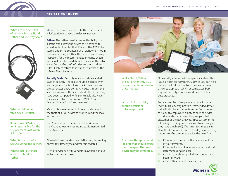#### **PROTECTING THE POS**

#### What are the benefits of using a Secure Stand, Tether and Security Seal?



**Stand:** The stand is secured to the counter and is locked down to keep the device in place.

**Tether:** The tether provides more flexibility than a stand and allows the device to be handed to a cardholder to enter their PIN and the POS to be stored under the counter, out of sight when not in use. When using a tether, the device can be easily inspected for the recommended integrity checks and serial number validation. In the event the cable is cut during the theft of a device, the fraudster is less likely to return to install the tamper as the cable will not be intact.

**Security Seals:** Security seals provide an added layer of security. The seals should be placed over seams (where the front and back cover meet) or over an access entry point. Any cuts through the seal or removal of the seal indicate the device may have been tampered with. Some seals also have a security feature that imprints "VOID" on the device if the seal has been removed.

What do I do when my device is stolen?

If I rent my POS devices, am I responsible for the replacement cost when it is stolen?

What is the cost of a Secure Stand and Tether?

Where can I purchase a Secure Stand or Tether?

Merchants are required to immediately report the theft of a POS device to Moneris and the local authorities.

Yes. Please refer to the terms of the Moneris merchant agreement regarding equipment rented from Moneris.

The cost of a secure stand and tether vary depending on vendor, device type and volume ordered.

A list of device security vendors is available on our website at **moneris.com**.



Will a Stand, Tether or Seal prevent my POS device from being stolen or tampered?

#### What kind of activity should I consider to be suspicious?

No security solution will completely address this issue. By protecting your POS device, you can help reduce the likelihood of fraud. We recommend a layered approach which encompasses both physical security solutions and process related best practices.

Some examples of suspicious activity include: individuals loitering near an unattended device, individuals placing large items on the counter to block an employee's ability to see the device or individuals that ensure they are your last customer of the day and your first customer the following morning (in some cases to return goods they have purchased). The latter technique is to steal the device at the end of the day, leave a decoy, and return the tampered device the next day.

- Are there things I should look for that should cause me to suspect that my device may be tampered?
	- if the serial number of the device is not part of your inventory
	- if the device is no longer secure in the stand (screws missing or loose)
	- if security seals are peeled back, cut or have been removed
	- if the tether or cable has been cut

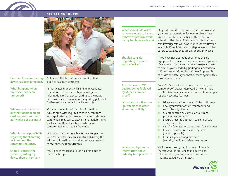#### **PROTECTING THE POS**



#### How can I be sure that my device has been tampered?

What happens when my device has been tampered?

Will my customers find out their debit or credit card was compromised at my place of business?

What is my responsibility regarding the skimming incident and the compromised cards?

Should I contact the police regarding my device theft or tamper? Only a certified technician can confirm that a device has been tampered.

In most cases Moneris will send an investigator to your location. The investigator will gather information and evidence relating to the fraud and provide recommendations regarding potential further enhancements to device security.

Moneris does not disclose this information (unless otherwise required to so in accordance with applicable laws), however, in some instances cardholders may talk to each other and determine the location. There have been instances of compromises reported by the media.

The merchant is responsible for fully cooperating with Moneris (or its representative(s)) during the skimming investigation and to make every effort to prevent repeat occurrences.

Yes. A police report should be filed for a device theft or a tamper.

What should I do when someone wants to inspect, remove or perform work on my Point-of-sale device?

Should I consider upgrading to a more secure device?

Are the newest POS devices being deployed by Moneris tamper proof ?

What best practices can I put in place to deter skimming activity?

Where can I get more information about industry best practices?

Only authorized persons are to perform work on your device. Moneris will always make contact with the location or the head office prior to attending the place of business. Our technicians and investigators will have Moneris identification available. Do not hesitate to telephone our contact centre to validate they are a Moneris employee.

If you have not upgraded your Point-Of-Sale equipment to a device that can process chip cards, please contact our sales team at **1-866-421-1667** to discuss your needs. Upgrading to a new device will not prevent skimming. A layered approach to device security is your best defence against this fraudulent activity.

Point-Of-Sale devices are tamper resistant, not tamper proof. Devices deployed by Moneris are certified to industry standards and contain tamper resistant security features.

- Educate yourself and your staff about skimming.
- Know your point of sale equipment and recognize any changes.
- Maintain care and control of your card processing equipment.
- Ensure a layered approach to point of sale devices security.
- Install video security cameras (90 days storage).
- Consider a monitored alarm system (when applicable).
- Establish good hiring practices (security, credit and reference checks).

Visit **moneris.com/fraud** to review Interac's Protect Your PinPad Toolkit and download information regarding a Law Enforcement initiative called Project Protect.